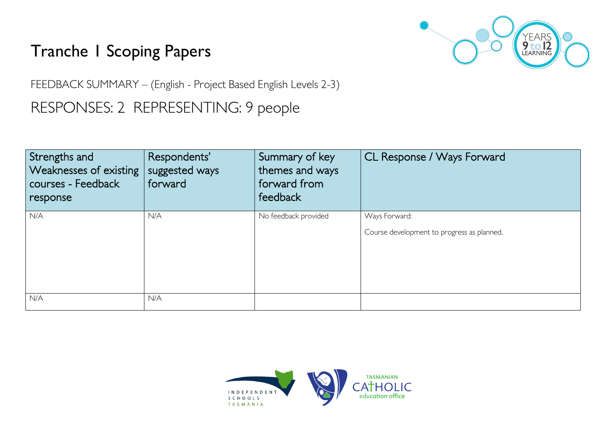## Tranche 1 Scoping Papers



FEEDBACK SUMMARY – (English - Project Based English Levels 2-3)

RESPONSES: 2 REPRESENTING: 9 people

| Strengths and<br><b>Weaknesses of existing</b><br>courses - Feedback<br>response | Respondents'<br>suggested ways<br>forward | Summary of key<br>themes and ways<br>forward from<br>feedback | CL Response / Ways Forward                                  |
|----------------------------------------------------------------------------------|-------------------------------------------|---------------------------------------------------------------|-------------------------------------------------------------|
| N/A                                                                              | N/A                                       | No feedback provided                                          | Ways Forward:<br>Course development to progress as planned. |
| N/A                                                                              | N/A                                       |                                                               |                                                             |

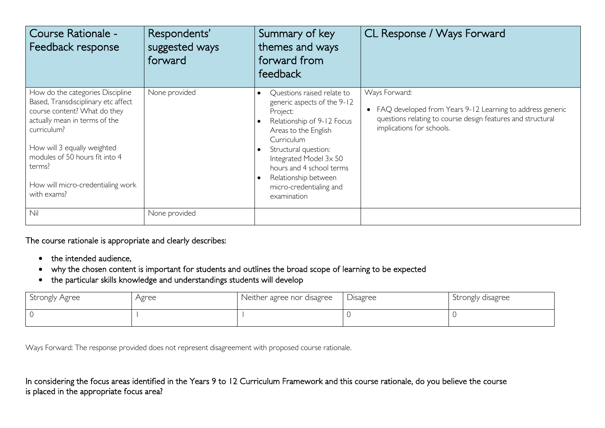| Course Rationale -<br>Feedback response                                                                                                                                                                                                                                                | Respondents'<br>suggested ways<br>forward | Summary of key<br>themes and ways<br>forward from<br>feedback                                                                                                                                                                                                                                                       | CL Response / Ways Forward                                                                                                                                               |
|----------------------------------------------------------------------------------------------------------------------------------------------------------------------------------------------------------------------------------------------------------------------------------------|-------------------------------------------|---------------------------------------------------------------------------------------------------------------------------------------------------------------------------------------------------------------------------------------------------------------------------------------------------------------------|--------------------------------------------------------------------------------------------------------------------------------------------------------------------------|
| How do the categories Discipline<br>Based, Transdisciplinary etc affect<br>course content? What do they<br>actually mean in terms of the<br>curriculum?<br>How will 3 equally weighted<br>modules of 50 hours fit into 4<br>terms?<br>How will micro-credentialing work<br>with exams? | None provided                             | Questions raised relate to<br>$\bullet$<br>generic aspects of the 9-12<br>Project:<br>Relationship of 9-12 Focus<br>Areas to the English<br>Curriculum<br>Structural question:<br>$\bullet$<br>Integrated Model 3x 50<br>hours and 4 school terms<br>Relationship between<br>micro-credentialing and<br>examination | Ways Forward:<br>• FAQ developed from Years 9-12 Learning to address generic<br>questions relating to course design features and structural<br>implications for schools. |
| Nil                                                                                                                                                                                                                                                                                    | None provided                             |                                                                                                                                                                                                                                                                                                                     |                                                                                                                                                                          |

## The course rationale is appropriate and clearly describes:

- the intended audience,
- why the chosen content is important for students and outlines the broad scope of learning to be expected
- the particular skills knowledge and understandings students will develop

| Strongly Agree | Agree | Neither agree nor disagree | Disagree | Strongly disagree |
|----------------|-------|----------------------------|----------|-------------------|
|                |       |                            |          |                   |

Ways Forward: The response provided does not represent disagreement with proposed course rationale.

In considering the focus areas identified in the Years 9 to 12 Curriculum Framework and this course rationale, do you believe the course is placed in the appropriate focus area?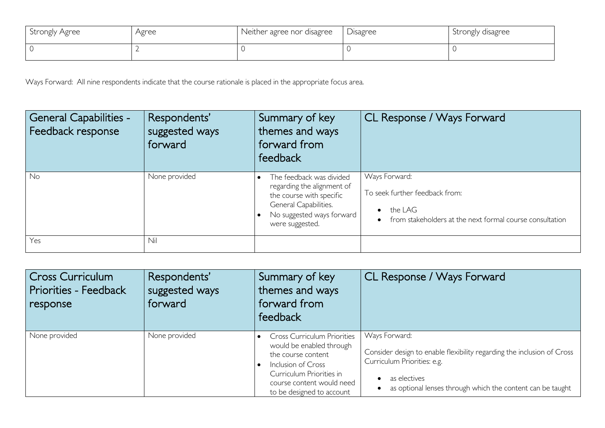| Strongly Agree | Agree | Neither agree nor disagree | Disagree | Strongly disagree |
|----------------|-------|----------------------------|----------|-------------------|
|                |       |                            |          |                   |

Ways Forward: All nine respondents indicate that the course rationale is placed in the appropriate focus area.

| General Capabilities -<br>Feedback response | Respondents'<br>suggested ways<br>forward | Summary of key<br>themes and ways<br>forward from<br>feedback                                                                                               | CL Response / Ways Forward                                                                                                          |
|---------------------------------------------|-------------------------------------------|-------------------------------------------------------------------------------------------------------------------------------------------------------------|-------------------------------------------------------------------------------------------------------------------------------------|
| No                                          | None provided                             | The feedback was divided<br>regarding the alignment of<br>the course with specific<br>General Capabilities.<br>No suggested ways forward<br>were suggested. | Ways Forward:<br>To seek further feedback from:<br>the LAG<br>$\bullet$<br>from stakeholders at the next formal course consultation |
| Yes                                         | Nil                                       |                                                                                                                                                             |                                                                                                                                     |

| Cross Curriculum<br>Priorities - Feedback<br>response | Respondents'<br>suggested ways<br>forward | Summary of key<br>themes and ways<br>forward from<br>feedback                                                                                                                                    | CL Response / Ways Forward                                                                                                                                                                           |
|-------------------------------------------------------|-------------------------------------------|--------------------------------------------------------------------------------------------------------------------------------------------------------------------------------------------------|------------------------------------------------------------------------------------------------------------------------------------------------------------------------------------------------------|
| None provided                                         | None provided                             | <b>Cross Curriculum Priorities</b><br>would be enabled through<br>the course content<br>Inclusion of Cross<br>Curriculum Priorities in<br>course content would need<br>to be designed to account | Ways Forward:<br>Consider design to enable flexibility regarding the inclusion of Cross<br>Curriculum Priorities: e.g.<br>as electives<br>as optional lenses through which the content can be taught |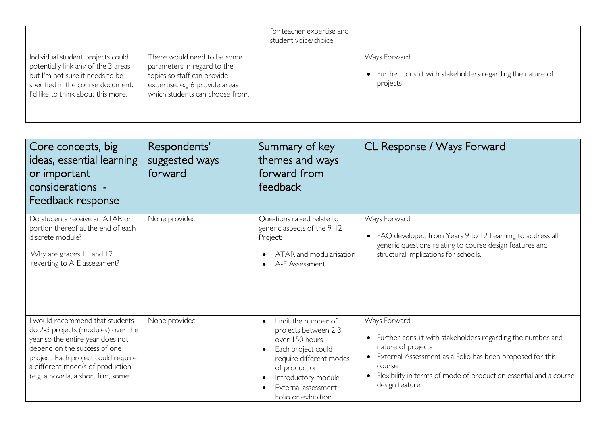|                                                                                                                                                                                        |                                                                                                                                                                | for teacher expertise and<br>student voice/choice |                                                                                          |
|----------------------------------------------------------------------------------------------------------------------------------------------------------------------------------------|----------------------------------------------------------------------------------------------------------------------------------------------------------------|---------------------------------------------------|------------------------------------------------------------------------------------------|
| Individual student projects could<br>potentially link any of the 3 areas<br>but I'm not sure it needs to be<br>specified in the course document.<br>I'd like to think about this more. | There would need to be some<br>parameters in regard to the<br>topics so staff can provide<br>expertise. e.g 6 provide areas<br>which students can choose from. |                                                   | Ways Forward:<br>• Further consult with stakeholders regarding the nature of<br>projects |

| Core concepts, big<br>ideas, essential learning<br>or important<br>considerations -<br>Feedback response                                                                                                                                                    | Respondents'<br>suggested ways<br>forward | Summary of key<br>themes and ways<br>forward from<br>feedback                                                                                                                                                                    | CL Response / Ways Forward                                                                                                                                                                                                                                                       |
|-------------------------------------------------------------------------------------------------------------------------------------------------------------------------------------------------------------------------------------------------------------|-------------------------------------------|----------------------------------------------------------------------------------------------------------------------------------------------------------------------------------------------------------------------------------|----------------------------------------------------------------------------------------------------------------------------------------------------------------------------------------------------------------------------------------------------------------------------------|
| Do students receive an ATAR or<br>portion thereof at the end of each<br>discrete module?<br>Why are grades 11 and 12<br>reverting to A-E assessment?                                                                                                        | None provided                             | Questions raised relate to<br>generic aspects of the 9-12<br>Project:<br>ATAR and modularisation<br>A-E Assessment                                                                                                               | Ways Forward:<br>• FAQ developed from Years 9 to 12 Learning to address all<br>generic questions relating to course design features and<br>structural implications for schools.                                                                                                  |
| I would recommend that students<br>do 2-3 projects (modules) over the<br>year so the entire year does not<br>depend on the success of one<br>project. Each project could require<br>a different mode/s of production<br>(e.g. a novella, a short film, some | None provided                             | Limit the number of<br>$\bullet$<br>projects between 2-3<br>over 150 hours<br>Each project could<br>$\bullet$<br>require different modes<br>of production<br>Introductory module<br>External assessment -<br>Folio or exhibition | Ways Forward:<br>• Further consult with stakeholders regarding the number and<br>nature of projects<br>• External Assessment as a Folio has been proposed for this<br>course<br>Flexibility in terms of mode of production essential and a course<br>$\bullet$<br>design feature |